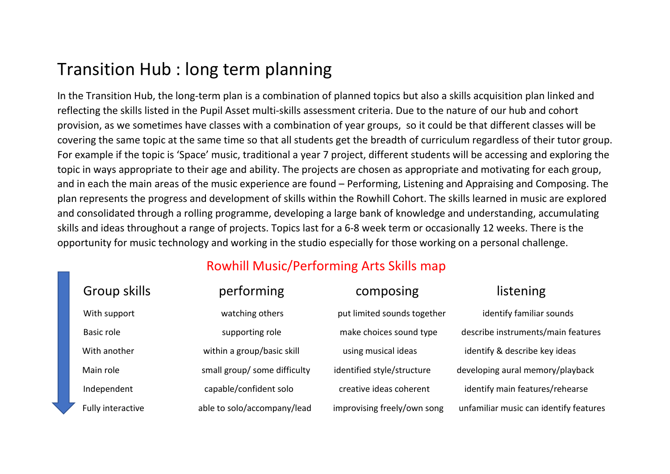## Transition Hub : long term planning

In the Transition Hub, the long-term plan is a combination of planned topics but also a skills acquisition plan linked and reflecting the skills listed in the Pupil Asset multi-skills assessment criteria. Due to the nature of our hub and cohort provision, as we sometimes have classes with a combination of year groups, so it could be that different classes will be covering the same topic at the same time so that all students get the breadth of curriculum regardless of their tutor group. For example if the topic is 'Space' music, traditional a year 7 project, different students will be accessing and exploring the topic in ways appropriate to their age and ability. The projects are chosen as appropriate and motivating for each group, and in each the main areas of the music experience are found – Performing, Listening and Appraising and Composing. The plan represents the progress and development of skills within the Rowhill Cohort. The skills learned in music are explored and consolidated through a rolling programme, developing a large bank of knowledge and understanding, accumulating skills and ideas throughout a range of projects. Topics last for a 6-8 week term or occasionally 12 weeks. There is the opportunity for music technology and working in the studio especially for those working on a personal challenge.

## Rowhill Music/Performing Arts Skills map

| Group skills      | performing                   | composing                   | listening                              |
|-------------------|------------------------------|-----------------------------|----------------------------------------|
| With support      | watching others              | put limited sounds together | identify familiar sounds               |
| Basic role        | supporting role              | make choices sound type     | describe instruments/main features     |
| With another      | within a group/basic skill   | using musical ideas         | identify & describe key ideas          |
| Main role         | small group/ some difficulty | identified style/structure  | developing aural memory/playback       |
| Independent       | capable/confident solo       | creative ideas coherent     | identify main features/rehearse        |
| Fully interactive | able to solo/accompany/lead  | improvising freely/own song | unfamiliar music can identify features |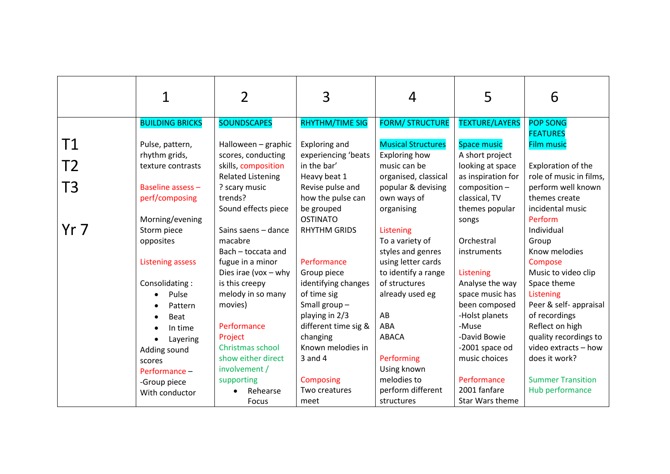|                |                                                                            | 2                                                                                                             | 3                                                                                       | 4                                                                                                        | 5                                                                                               | 6                                                                                                           |
|----------------|----------------------------------------------------------------------------|---------------------------------------------------------------------------------------------------------------|-----------------------------------------------------------------------------------------|----------------------------------------------------------------------------------------------------------|-------------------------------------------------------------------------------------------------|-------------------------------------------------------------------------------------------------------------|
|                | <b>BUILDING BRICKS</b>                                                     | <b>SOUNDSCAPES</b>                                                                                            | RHYTHM/TIME SIG                                                                         | <b>FORM/ STRUCTURE</b>                                                                                   | <b>TEXTURE/LAYERS</b>                                                                           | <b>POP SONG</b>                                                                                             |
| Τ1<br>T2<br>T3 | Pulse, pattern,<br>rhythm grids,<br>texture contrasts<br>Baseline assess - | Halloween - graphic<br>scores, conducting<br>skills, composition<br><b>Related Listening</b><br>? scary music | Exploring and<br>experiencing 'beats<br>in the bar'<br>Heavy beat 1<br>Revise pulse and | <b>Musical Structures</b><br>Exploring how<br>music can be<br>organised, classical<br>popular & devising | <b>Space music</b><br>A short project<br>looking at space<br>as inspiration for<br>composition- | <b>FEATURES</b><br><b>Film music</b><br>Exploration of the<br>role of music in films,<br>perform well known |
|                | perf/composing                                                             | trends?                                                                                                       | how the pulse can                                                                       | own ways of                                                                                              | classical, TV                                                                                   | themes create                                                                                               |
| Yr 7           | Morning/evening<br>Storm piece                                             | Sound effects piece<br>Sains saens - dance                                                                    | be grouped<br><b>OSTINATO</b><br><b>RHYTHM GRIDS</b>                                    | organising<br>Listening                                                                                  | themes popular<br>songs                                                                         | incidental music<br>Perform<br>Individual                                                                   |
|                | opposites                                                                  | macabre                                                                                                       |                                                                                         | To a variety of                                                                                          | Orchestral                                                                                      | Group                                                                                                       |
|                |                                                                            | Bach - toccata and                                                                                            |                                                                                         | styles and genres                                                                                        | instruments                                                                                     | Know melodies                                                                                               |
|                | <b>Listening assess</b>                                                    | fugue in a minor                                                                                              | Performance                                                                             | using letter cards                                                                                       |                                                                                                 | Compose                                                                                                     |
|                |                                                                            | Dies irae (vox $-$ why                                                                                        | Group piece                                                                             | to identify a range                                                                                      | Listening                                                                                       | Music to video clip                                                                                         |
|                | Consolidating:                                                             | is this creepy                                                                                                | identifying changes                                                                     | of structures                                                                                            | Analyse the way                                                                                 | Space theme                                                                                                 |
|                | Pulse<br>$\bullet$                                                         | melody in so many                                                                                             | of time sig                                                                             | already used eg                                                                                          | space music has                                                                                 | Listening                                                                                                   |
|                | Pattern                                                                    | movies)                                                                                                       | Small group $-$                                                                         |                                                                                                          | been composed                                                                                   | Peer & self- appraisal                                                                                      |
|                | <b>Beat</b>                                                                |                                                                                                               | playing in 2/3                                                                          | AB                                                                                                       | -Holst planets                                                                                  | of recordings                                                                                               |
|                | In time                                                                    | Performance<br>Project                                                                                        | different time sig &<br>changing                                                        | ABA<br><b>ABACA</b>                                                                                      | -Muse<br>-David Bowie                                                                           | Reflect on high<br>quality recordings to                                                                    |
|                | Layering                                                                   | Christmas school                                                                                              | Known melodies in                                                                       |                                                                                                          | -2001 space od                                                                                  | video extracts - how                                                                                        |
|                | Adding sound                                                               | show either direct                                                                                            | $3$ and $4$                                                                             | Performing                                                                                               | music choices                                                                                   | does it work?                                                                                               |
|                | scores<br>Performance -                                                    | involvement /                                                                                                 |                                                                                         | Using known                                                                                              |                                                                                                 |                                                                                                             |
|                | -Group piece                                                               | supporting                                                                                                    | <b>Composing</b>                                                                        | melodies to                                                                                              | Performance                                                                                     | <b>Summer Transition</b>                                                                                    |
|                | With conductor                                                             | Rehearse                                                                                                      | Two creatures                                                                           | perform different                                                                                        | 2001 fanfare                                                                                    | Hub performance                                                                                             |
|                |                                                                            | Focus                                                                                                         | meet                                                                                    | structures                                                                                               | Star Wars theme                                                                                 |                                                                                                             |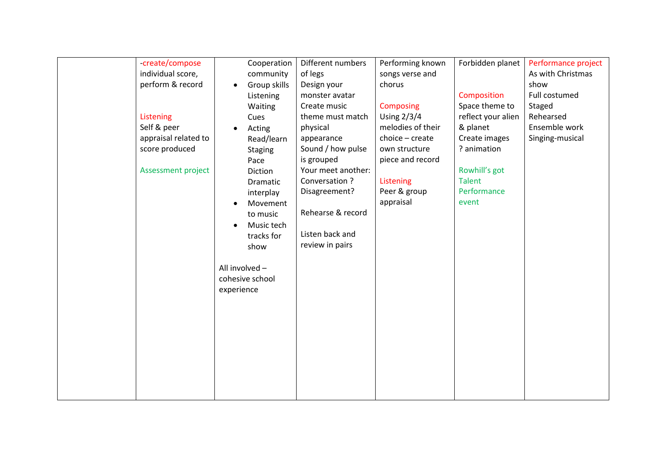| -create/compose<br>individual score, |                | Cooperation<br>community  | Different numbers<br>of legs    | Performing known<br>songs verse and | Forbidden planet               | Performance project<br>As with Christmas |
|--------------------------------------|----------------|---------------------------|---------------------------------|-------------------------------------|--------------------------------|------------------------------------------|
| perform & record                     | $\bullet$      | Group skills<br>Listening | Design your<br>monster avatar   | chorus                              | Composition                    | show<br>Full costumed                    |
|                                      |                | Waiting                   | Create music                    | Composing                           | Space theme to                 | Staged                                   |
| Listening                            |                | Cues                      | theme must match                | Using $2/3/4$                       | reflect your alien             | Rehearsed                                |
| Self & peer                          | $\bullet$      | Acting                    | physical                        | melodies of their                   | & planet                       | Ensemble work                            |
| appraisal related to                 |                | Read/learn                | appearance                      | choice - create                     | Create images                  | Singing-musical                          |
| score produced                       |                | <b>Staging</b>            | Sound / how pulse               | own structure                       | ? animation                    |                                          |
|                                      |                | Pace                      | is grouped                      | piece and record                    |                                |                                          |
| <b>Assessment project</b>            |                | Diction                   | Your meet another:              |                                     | Rowhill's got<br><b>Talent</b> |                                          |
|                                      |                | Dramatic                  | Conversation ?<br>Disagreement? | Listening<br>Peer & group           | Performance                    |                                          |
|                                      |                | interplay<br>Movement     |                                 | appraisal                           | event                          |                                          |
|                                      |                | to music                  | Rehearse & record               |                                     |                                |                                          |
|                                      |                | Music tech                |                                 |                                     |                                |                                          |
|                                      |                | tracks for                | Listen back and                 |                                     |                                |                                          |
|                                      |                | show                      | review in pairs                 |                                     |                                |                                          |
|                                      |                |                           |                                 |                                     |                                |                                          |
|                                      | All involved - |                           |                                 |                                     |                                |                                          |
|                                      |                | cohesive school           |                                 |                                     |                                |                                          |
|                                      | experience     |                           |                                 |                                     |                                |                                          |
|                                      |                |                           |                                 |                                     |                                |                                          |
|                                      |                |                           |                                 |                                     |                                |                                          |
|                                      |                |                           |                                 |                                     |                                |                                          |
|                                      |                |                           |                                 |                                     |                                |                                          |
|                                      |                |                           |                                 |                                     |                                |                                          |
|                                      |                |                           |                                 |                                     |                                |                                          |
|                                      |                |                           |                                 |                                     |                                |                                          |
|                                      |                |                           |                                 |                                     |                                |                                          |
|                                      |                |                           |                                 |                                     |                                |                                          |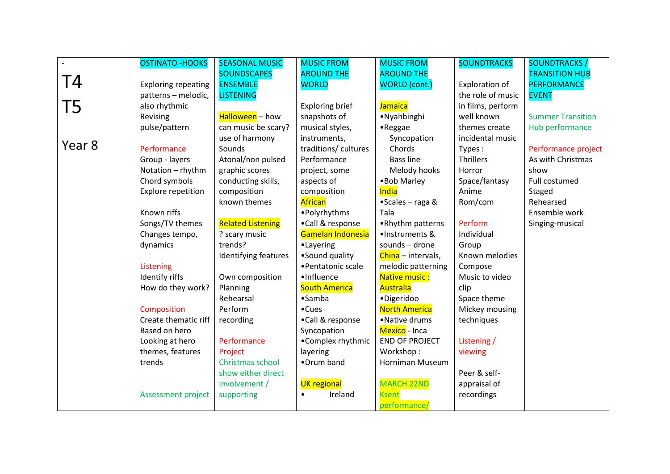|        | <b>OSTINATO - HOOKS</b>    | <b>SEASONAL MUSIC</b>    | <b>MUSIC FROM</b>      | <b>MUSIC FROM</b>     | <b>SOUNDTRACKS</b> | <b>SOUNDTRACKS/</b>      |
|--------|----------------------------|--------------------------|------------------------|-----------------------|--------------------|--------------------------|
|        |                            | <b>SOUNDSCAPES</b>       | <b>AROUND THE</b>      | <b>AROUND THE</b>     |                    | <b>TRANSITION HUB</b>    |
| T4     | <b>Exploring repeating</b> | <b>ENSEMBLE</b>          | <b>WORLD</b>           | <b>WORLD</b> (cont.)  | Exploration of     | <b>PERFORMANCE</b>       |
|        | patterns - melodic,        | <b>LISTENING</b>         |                        |                       | the role of music  | <b>EVENT</b>             |
| T5     | also rhythmic              |                          | <b>Exploring brief</b> | <b>Jamaica</b>        | in films, perform  |                          |
|        | Revising                   | Halloween - how          | snapshots of           | • Nyahbinghi          | well known         | <b>Summer Transition</b> |
|        | pulse/pattern              | can music be scary?      | musical styles,        | $\bullet$ Reggae      | themes create      | Hub performance          |
|        |                            | use of harmony           | instruments,           | Syncopation           | incidental music   |                          |
| Year 8 | Performance                | Sounds                   | traditions/ cultures   | Chords                | Types:             | Performance project      |
|        | Group - layers             | Atonal/non pulsed        | Performance            | <b>Bass line</b>      | <b>Thrillers</b>   | As with Christmas        |
|        | Notation - rhythm          | graphic scores           | project, some          | Melody hooks          | Horror             | show                     |
|        | Chord symbols              | conducting skills,       | aspects of             | • Bob Marley          | Space/fantasy      | Full costumed            |
|        | Explore repetition         | composition              | composition            | India                 | Anime              | Staged                   |
|        |                            | known themes             | African                | •Scales - raga &      | Rom/com            | Rehearsed                |
|        | Known riffs                |                          | • Polyrhythms          | Tala                  |                    | Ensemble work            |
|        | Songs/TV themes            | <b>Related Listening</b> | •Call & response       | •Rhythm patterns      | Perform            | Singing-musical          |
|        | Changes tempo,             | ? scary music            | Gamelan Indonesia      | ·Instruments &        | Individual         |                          |
|        | dynamics                   | trends?                  | •Layering              | sounds - drone        | Group              |                          |
|        |                            | Identifying features     | •Sound quality         | China - intervals,    | Known melodies     |                          |
|        | Listening                  |                          | • Pentatonic scale     | melodic patterning    | Compose            |                          |
|        | Identify riffs             | Own composition          | ·Influence             | Native music:         | Music to video     |                          |
|        | How do they work?          | Planning                 | <b>South America</b>   | <b>Australia</b>      | clip               |                          |
|        |                            | Rehearsal                | $•$ Samba              | ·Digeridoo            | Space theme        |                          |
|        | Composition                | Perform                  | $\bullet$ Cues         | <b>North America</b>  | Mickey mousing     |                          |
|        | Create thematic riff       | recording                | •Call & response       | •Native drums         | techniques         |                          |
|        | Based on hero              |                          | Syncopation            | Mexico - Inca         |                    |                          |
|        | Looking at hero            | Performance              | •Complex rhythmic      | <b>END OF PROJECT</b> | Listening /        |                          |
|        | themes, features           | Project                  | layering               | Workshop:             | viewing            |                          |
|        | trends                     | Christmas school         | •Drum band             | Horniman Museum       |                    |                          |
|        |                            | show either direct       |                        |                       | Peer & self-       |                          |
|        |                            | involvement /            | <b>UK</b> regional     | <b>MARCH 22ND</b>     | appraisal of       |                          |
|        | <b>Assessment project</b>  | supporting               | Ireland                | <b>Ksent</b>          | recordings         |                          |
|        |                            |                          |                        | performance/          |                    |                          |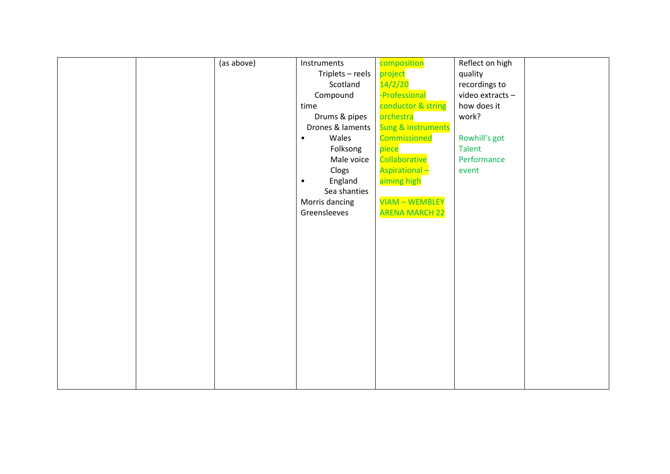|  | (as above) | Instruments          | composition           | Reflect on high |  |
|--|------------|----------------------|-----------------------|-----------------|--|
|  |            | Triplets $-$ reels   | project               | quality         |  |
|  |            | Scotland             | 14/2/20               | recordings to   |  |
|  |            | Compound             | -Professional         | video extracts- |  |
|  |            | time                 | conductor & string    | how does it     |  |
|  |            | Drums & pipes        | orchestra             | work?           |  |
|  |            | Drones & laments     | Sung & instruments    |                 |  |
|  |            | Wales                | Commissioned          | Rowhill's got   |  |
|  |            | Folksong             | piece                 | <b>Talent</b>   |  |
|  |            | Male voice           | Collaborative         | Performance     |  |
|  |            | Clogs                | <b>Aspirational-</b>  | event           |  |
|  |            | England<br>$\bullet$ | aiming high           |                 |  |
|  |            | Sea shanties         |                       |                 |  |
|  |            | Morris dancing       | <b>VIAM - WEMBLEY</b> |                 |  |
|  |            | Greensleeves         | <b>ARENA MARCH 22</b> |                 |  |
|  |            |                      |                       |                 |  |
|  |            |                      |                       |                 |  |
|  |            |                      |                       |                 |  |
|  |            |                      |                       |                 |  |
|  |            |                      |                       |                 |  |
|  |            |                      |                       |                 |  |
|  |            |                      |                       |                 |  |
|  |            |                      |                       |                 |  |
|  |            |                      |                       |                 |  |
|  |            |                      |                       |                 |  |
|  |            |                      |                       |                 |  |
|  |            |                      |                       |                 |  |
|  |            |                      |                       |                 |  |
|  |            |                      |                       |                 |  |
|  |            |                      |                       |                 |  |
|  |            |                      |                       |                 |  |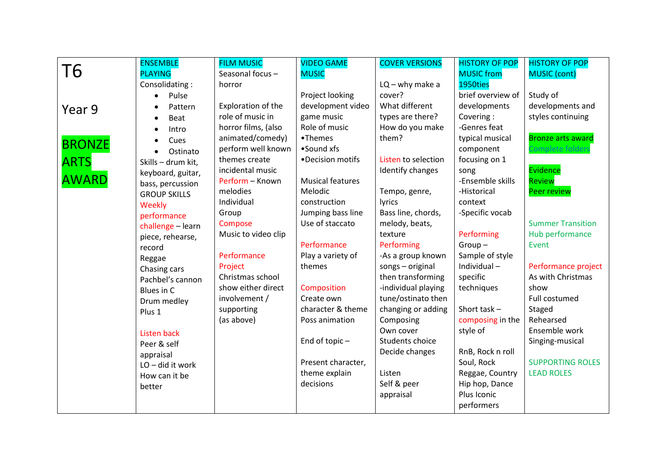|               | <b>ENSEMBLE</b>     | <b>FILM MUSIC</b>   | <b>VIDEO GAME</b>          | <b>COVER VERSIONS</b> | <b>HISTORY OF POP</b>         | <b>HISTORY OF POP</b>    |
|---------------|---------------------|---------------------|----------------------------|-----------------------|-------------------------------|--------------------------|
| Τ6            | <b>PLAYING</b>      | Seasonal focus-     | <b>MUSIC</b>               |                       | <b>MUSIC</b> from             | <b>MUSIC</b> (cont)      |
|               | Consolidating:      | horror              |                            | $LQ - why$ make a     | 1950ties                      |                          |
|               | Pulse               |                     | Project looking            | cover?                | brief overview of             | Study of                 |
| Year 9        | Pattern             | Exploration of the  | development video          | What different        | developments                  | developments and         |
|               | <b>Beat</b>         | role of music in    | game music                 | types are there?      | Covering:                     | styles continuing        |
|               | Intro               | horror films, (also | Role of music              | How do you make       | -Genres feat                  |                          |
| <b>BRONZE</b> | Cues                | animated/comedy)    | •Themes                    | them?                 | typical musical               | <b>Bronze arts award</b> |
|               | Ostinato            | perform well known  | •Sound xfs                 |                       | component                     | Complete folder:         |
| <b>ARTS</b>   | Skills - drum kit,  | themes create       | •Decision motifs           | Listen to selection   | focusing on 1                 |                          |
|               | keyboard, guitar,   | incidental music    |                            | Identify changes      | song                          | Evidence                 |
| <b>AWARD</b>  | bass, percussion    | Perform - Known     | <b>Musical features</b>    |                       | -Ensemble skills              | <b>Review</b>            |
|               | <b>GROUP SKILLS</b> | melodies            | Melodic                    | Tempo, genre,         | -Historical                   | <b>Peer review</b>       |
|               | Weekly              | Individual          | construction               | lyrics                | context                       |                          |
|               | performance         | Group               | Jumping bass line          | Bass line, chords,    | -Specific vocab               |                          |
|               | challenge - learn   | Compose             | Use of staccato            | melody, beats,        |                               | <b>Summer Transition</b> |
|               | piece, rehearse,    | Music to video clip |                            | texture               | Performing                    | Hub performance          |
|               | record              |                     | Performance                | Performing            | $Group-$                      | Event                    |
|               | Reggae              | Performance         | Play a variety of          | -As a group known     | Sample of style               |                          |
|               | Chasing cars        | Project             | themes                     | songs - original      | Individual-                   | Performance project      |
|               | Pachbel's cannon    | Christmas school    |                            | then transforming     | specific                      | As with Christmas        |
|               | Blues in C          | show either direct  | Composition                | -individual playing   | techniques                    | show                     |
|               | Drum medley         | involvement /       | Create own                 | tune/ostinato then    |                               | Full costumed            |
|               | Plus 1              | supporting          | character & theme          | changing or adding    | Short task $-$                | Staged                   |
|               |                     | (as above)          | Poss animation             | Composing             | composing in the              | Rehearsed                |
|               | <b>Listen back</b>  |                     |                            | Own cover             | style of                      | Ensemble work            |
|               | Peer & self         |                     | End of topic-              | Students choice       |                               | Singing-musical          |
|               | appraisal           |                     |                            | Decide changes        | RnB, Rock n roll              | <b>SUPPORTING ROLES</b>  |
|               | LO-did it work      |                     | Present character,         |                       | Soul, Rock                    | <b>LEAD ROLES</b>        |
|               | How can it be       |                     | theme explain<br>decisions | Listen<br>Self & peer | Reggae, Country               |                          |
|               | better              |                     |                            |                       | Hip hop, Dance<br>Plus Iconic |                          |
|               |                     |                     |                            | appraisal             |                               |                          |
|               |                     |                     |                            |                       | performers                    |                          |